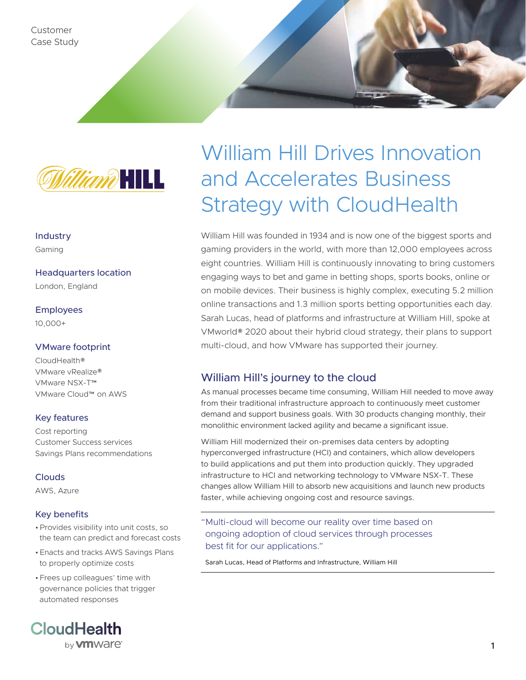Customer Case Study



Industry Gaming

Headquarters location London, England

Employees 10,000+

## VMware footprint

CloudHealth® VMware vRealize® VMware NSX-T™ VMware Cloud™ on AWS

## Key features

Cost reporting Customer Success services Savings Plans recommendations

## **Clouds**

AWS, Azure

## Key benefits

- •Provides visibility into unit costs, so the team can predict and forecast costs
- •Enacts and tracks AWS Savings Plans to properly optimize costs
- •Frees up colleagues' time with governance policies that trigger automated responses



# William Hill Drives Innovation and Accelerates Business Strategy with CloudHealth

William Hill was founded in 1934 and is now one of the biggest sports and gaming providers in the world, with more than 12,000 employees across eight countries. William Hill is continuously innovating to bring customers engaging ways to bet and game in betting shops, sports books, online or on mobile devices. Their business is highly complex, executing 5.2 million online transactions and 1.3 million sports betting opportunities each day. Sarah Lucas, head of platforms and infrastructure at William Hill, spoke at VMworld® 2020 about their hybrid cloud strategy, their plans to support multi-cloud, and how VMware has supported their journey.

## William Hill's journey to the cloud

As manual processes became time consuming, William Hill needed to move away from their traditional infrastructure approach to continuously meet customer demand and support business goals. With 30 products changing monthly, their monolithic environment lacked agility and became a significant issue.

William Hill modernized their on-premises data centers by adopting hyperconverged infrastructure (HCI) and containers, which allow developers to build applications and put them into production quickly. They upgraded infrastructure to HCI and networking technology to VMware NSX-T. These changes allow William Hill to absorb new acquisitions and launch new products faster, while achieving ongoing cost and resource savings.

"Multi-cloud will become our reality over time based on ongoing adoption of cloud services through processes best fit for our applications."

Sarah Lucas, Head of Platforms and Infrastructure, William Hill